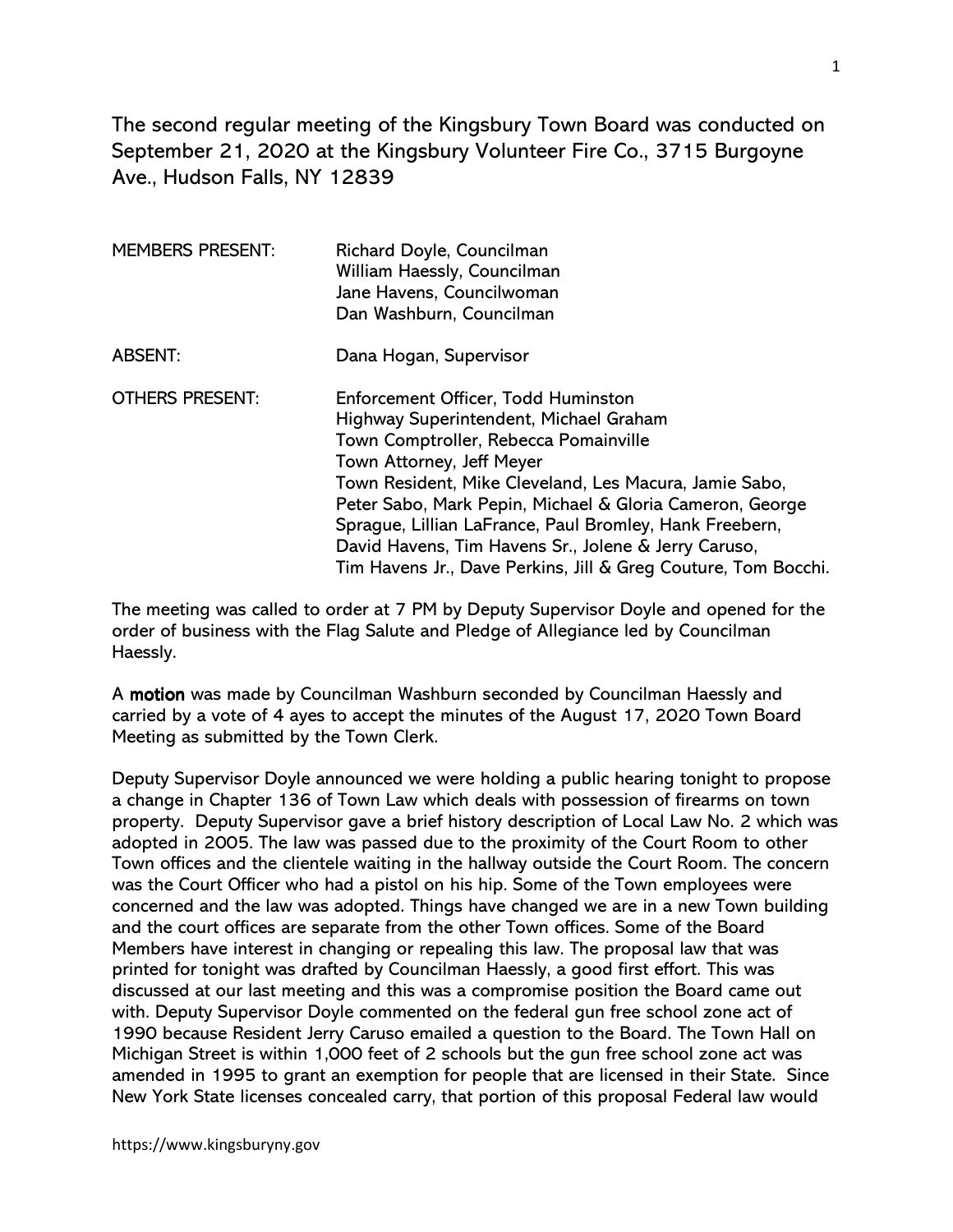The second regular meeting of the Kingsbury Town Board was conducted on September 21, 2020 at the Kingsbury Volunteer Fire Co., 3715 Burgoyne Ave., Hudson Falls, NY 12839

| <b>MEMBERS PRESENT:</b> | Richard Doyle, Councilman<br>William Haessly, Councilman<br>Jane Havens, Councilwoman<br>Dan Washburn, Councilman                                                                                                                                                                                                                                                                                                                                              |
|-------------------------|----------------------------------------------------------------------------------------------------------------------------------------------------------------------------------------------------------------------------------------------------------------------------------------------------------------------------------------------------------------------------------------------------------------------------------------------------------------|
| <b>ABSENT:</b>          | Dana Hogan, Supervisor                                                                                                                                                                                                                                                                                                                                                                                                                                         |
| <b>OTHERS PRESENT:</b>  | Enforcement Officer, Todd Huminston<br>Highway Superintendent, Michael Graham<br>Town Comptroller, Rebecca Pomainville<br>Town Attorney, Jeff Meyer<br>Town Resident, Mike Cleveland, Les Macura, Jamie Sabo,<br>Peter Sabo, Mark Pepin, Michael & Gloria Cameron, George<br>Sprague, Lillian LaFrance, Paul Bromley, Hank Freebern,<br>David Havens, Tim Havens Sr., Jolene & Jerry Caruso,<br>Tim Havens Jr., Dave Perkins, Jill & Greg Couture, Tom Bocchi. |

The meeting was called to order at 7 PM by Deputy Supervisor Doyle and opened for the order of business with the Flag Salute and Pledge of Allegiance led by Councilman Haessly.

A motion was made by Councilman Washburn seconded by Councilman Haessly and carried by a vote of 4 ayes to accept the minutes of the August 17, 2020 Town Board Meeting as submitted by the Town Clerk.

Deputy Supervisor Doyle announced we were holding a public hearing tonight to propose a change in Chapter 136 of Town Law which deals with possession of firearms on town property. Deputy Supervisor gave a brief history description of Local Law No. 2 which was adopted in 2005. The law was passed due to the proximity of the Court Room to other Town offices and the clientele waiting in the hallway outside the Court Room. The concern was the Court Officer who had a pistol on his hip. Some of the Town employees were concerned and the law was adopted. Things have changed we are in a new Town building and the court offices are separate from the other Town offices. Some of the Board Members have interest in changing or repealing this law. The proposal law that was printed for tonight was drafted by Councilman Haessly, a good first effort. This was discussed at our last meeting and this was a compromise position the Board came out with. Deputy Supervisor Doyle commented on the federal gun free school zone act of 1990 because Resident Jerry Caruso emailed a question to the Board. The Town Hall on Michigan Street is within 1,000 feet of 2 schools but the gun free school zone act was amended in 1995 to grant an exemption for people that are licensed in their State. Since New York State licenses concealed carry, that portion of this proposal Federal law would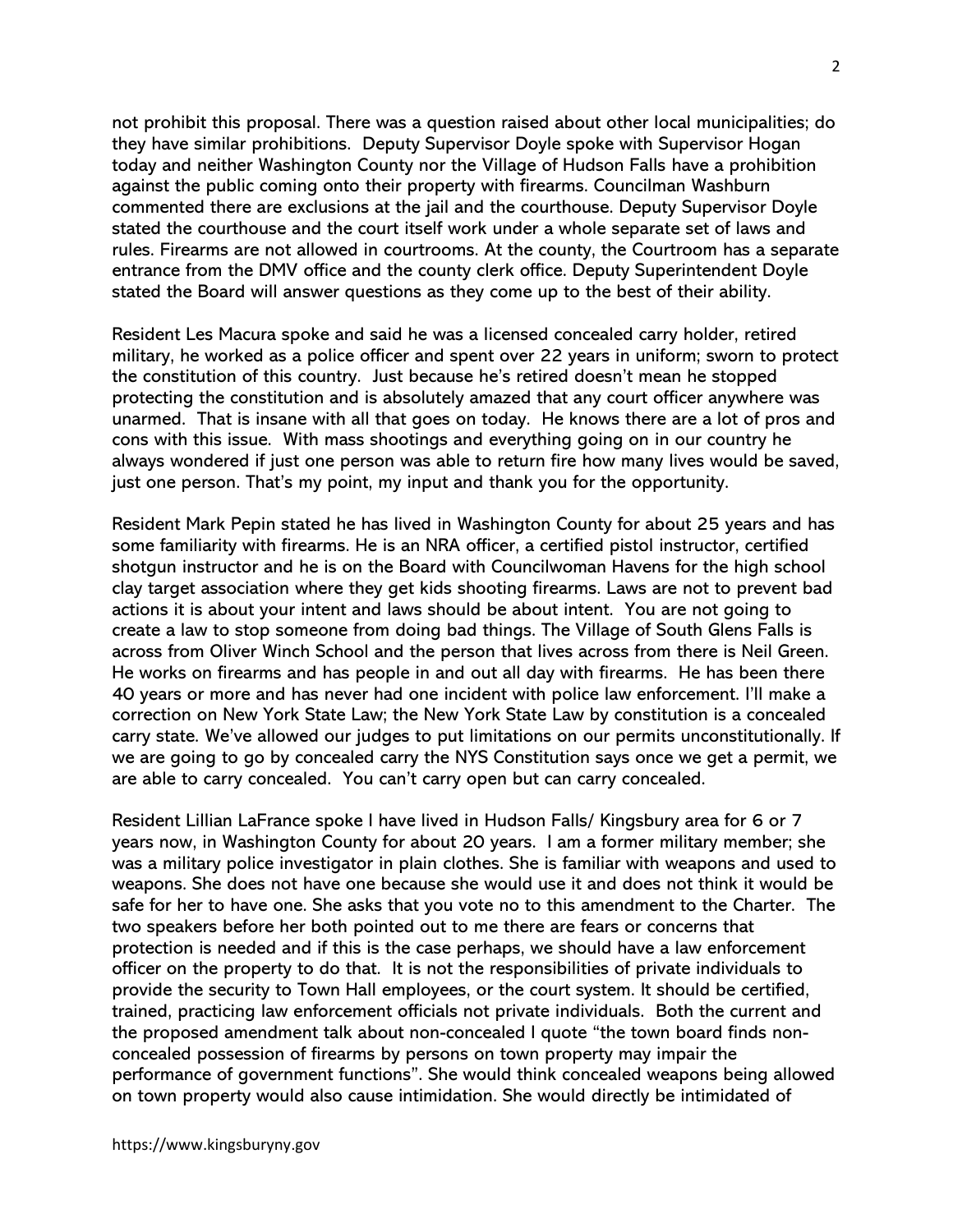not prohibit this proposal. There was a question raised about other local municipalities; do they have similar prohibitions. Deputy Supervisor Doyle spoke with Supervisor Hogan today and neither Washington County nor the Village of Hudson Falls have a prohibition against the public coming onto their property with firearms. Councilman Washburn commented there are exclusions at the jail and the courthouse. Deputy Supervisor Doyle stated the courthouse and the court itself work under a whole separate set of laws and rules. Firearms are not allowed in courtrooms. At the county, the Courtroom has a separate entrance from the DMV office and the county clerk office. Deputy Superintendent Doyle stated the Board will answer questions as they come up to the best of their ability.

Resident Les Macura spoke and said he was a licensed concealed carry holder, retired military, he worked as a police officer and spent over 22 years in uniform; sworn to protect the constitution of this country. Just because he's retired doesn't mean he stopped protecting the constitution and is absolutely amazed that any court officer anywhere was unarmed. That is insane with all that goes on today. He knows there are a lot of pros and cons with this issue. With mass shootings and everything going on in our country he always wondered if just one person was able to return fire how many lives would be saved, just one person. That's my point, my input and thank you for the opportunity.

Resident Mark Pepin stated he has lived in Washington County for about 25 years and has some familiarity with firearms. He is an NRA officer, a certified pistol instructor, certified shotgun instructor and he is on the Board with Councilwoman Havens for the high school clay target association where they get kids shooting firearms. Laws are not to prevent bad actions it is about your intent and laws should be about intent. You are not going to create a law to stop someone from doing bad things. The Village of South Glens Falls is across from Oliver Winch School and the person that lives across from there is Neil Green. He works on firearms and has people in and out all day with firearms. He has been there 40 years or more and has never had one incident with police law enforcement. I'll make a correction on New York State Law; the New York State Law by constitution is a concealed carry state. We've allowed our judges to put limitations on our permits unconstitutionally. If we are going to go by concealed carry the NYS Constitution says once we get a permit, we are able to carry concealed. You can't carry open but can carry concealed.

Resident Lillian LaFrance spoke I have lived in Hudson Falls/ Kingsbury area for 6 or 7 years now, in Washington County for about 20 years. I am a former military member; she was a military police investigator in plain clothes. She is familiar with weapons and used to weapons. She does not have one because she would use it and does not think it would be safe for her to have one. She asks that you vote no to this amendment to the Charter. The two speakers before her both pointed out to me there are fears or concerns that protection is needed and if this is the case perhaps, we should have a law enforcement officer on the property to do that. It is not the responsibilities of private individuals to provide the security to Town Hall employees, or the court system. It should be certified, trained, practicing law enforcement officials not private individuals. Both the current and the proposed amendment talk about non-concealed I quote "the town board finds nonconcealed possession of firearms by persons on town property may impair the performance of government functions". She would think concealed weapons being allowed on town property would also cause intimidation. She would directly be intimidated of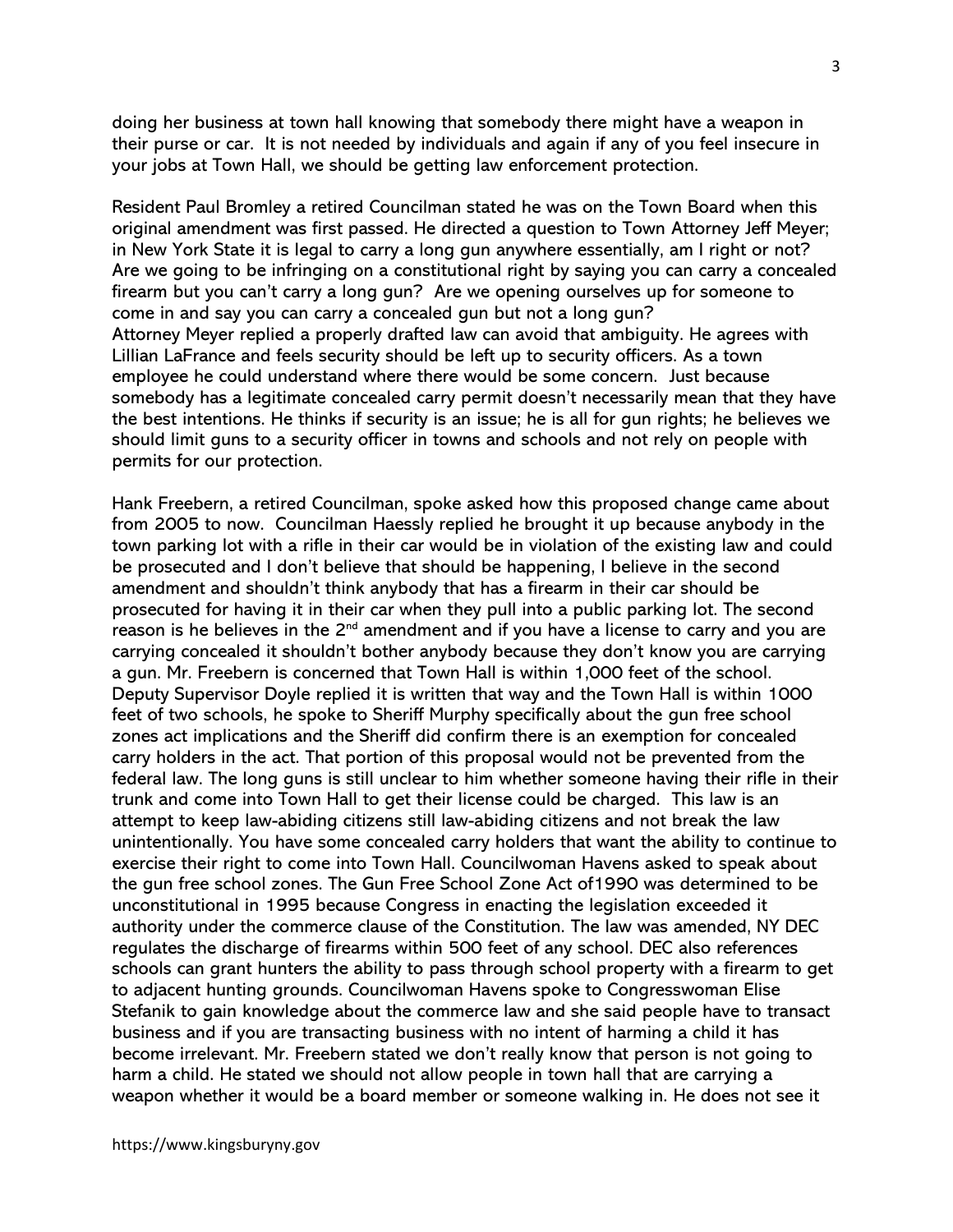doing her business at town hall knowing that somebody there might have a weapon in their purse or car. It is not needed by individuals and again if any of you feel insecure in your jobs at Town Hall, we should be getting law enforcement protection.

Resident Paul Bromley a retired Councilman stated he was on the Town Board when this original amendment was first passed. He directed a question to Town Attorney Jeff Meyer; in New York State it is legal to carry a long gun anywhere essentially, am I right or not? Are we going to be infringing on a constitutional right by saying you can carry a concealed firearm but you can't carry a long gun? Are we opening ourselves up for someone to come in and say you can carry a concealed gun but not a long gun? Attorney Meyer replied a properly drafted law can avoid that ambiguity. He agrees with Lillian LaFrance and feels security should be left up to security officers. As a town employee he could understand where there would be some concern. Just because somebody has a legitimate concealed carry permit doesn't necessarily mean that they have the best intentions. He thinks if security is an issue; he is all for gun rights; he believes we should limit guns to a security officer in towns and schools and not rely on people with permits for our protection.

Hank Freebern, a retired Councilman, spoke asked how this proposed change came about from 2005 to now. Councilman Haessly replied he brought it up because anybody in the town parking lot with a rifle in their car would be in violation of the existing law and could be prosecuted and I don't believe that should be happening, I believe in the second amendment and shouldn't think anybody that has a firearm in their car should be prosecuted for having it in their car when they pull into a public parking lot. The second reason is he believes in the  $2<sup>nd</sup>$  amendment and if you have a license to carry and you are carrying concealed it shouldn't bother anybody because they don't know you are carrying a gun. Mr. Freebern is concerned that Town Hall is within 1,000 feet of the school. Deputy Supervisor Doyle replied it is written that way and the Town Hall is within 1000 feet of two schools, he spoke to Sheriff Murphy specifically about the gun free school zones act implications and the Sheriff did confirm there is an exemption for concealed carry holders in the act. That portion of this proposal would not be prevented from the federal law. The long guns is still unclear to him whether someone having their rifle in their trunk and come into Town Hall to get their license could be charged. This law is an attempt to keep law-abiding citizens still law-abiding citizens and not break the law unintentionally. You have some concealed carry holders that want the ability to continue to exercise their right to come into Town Hall. Councilwoman Havens asked to speak about the gun free school zones. The Gun Free School Zone Act of1990 was determined to be unconstitutional in 1995 because Congress in enacting the legislation exceeded it authority under the commerce clause of the Constitution. The law was amended, NY DEC regulates the discharge of firearms within 500 feet of any school. DEC also references schools can grant hunters the ability to pass through school property with a firearm to get to adjacent hunting grounds. Councilwoman Havens spoke to Congresswoman Elise Stefanik to gain knowledge about the commerce law and she said people have to transact business and if you are transacting business with no intent of harming a child it has become irrelevant. Mr. Freebern stated we don't really know that person is not going to harm a child. He stated we should not allow people in town hall that are carrying a weapon whether it would be a board member or someone walking in. He does not see it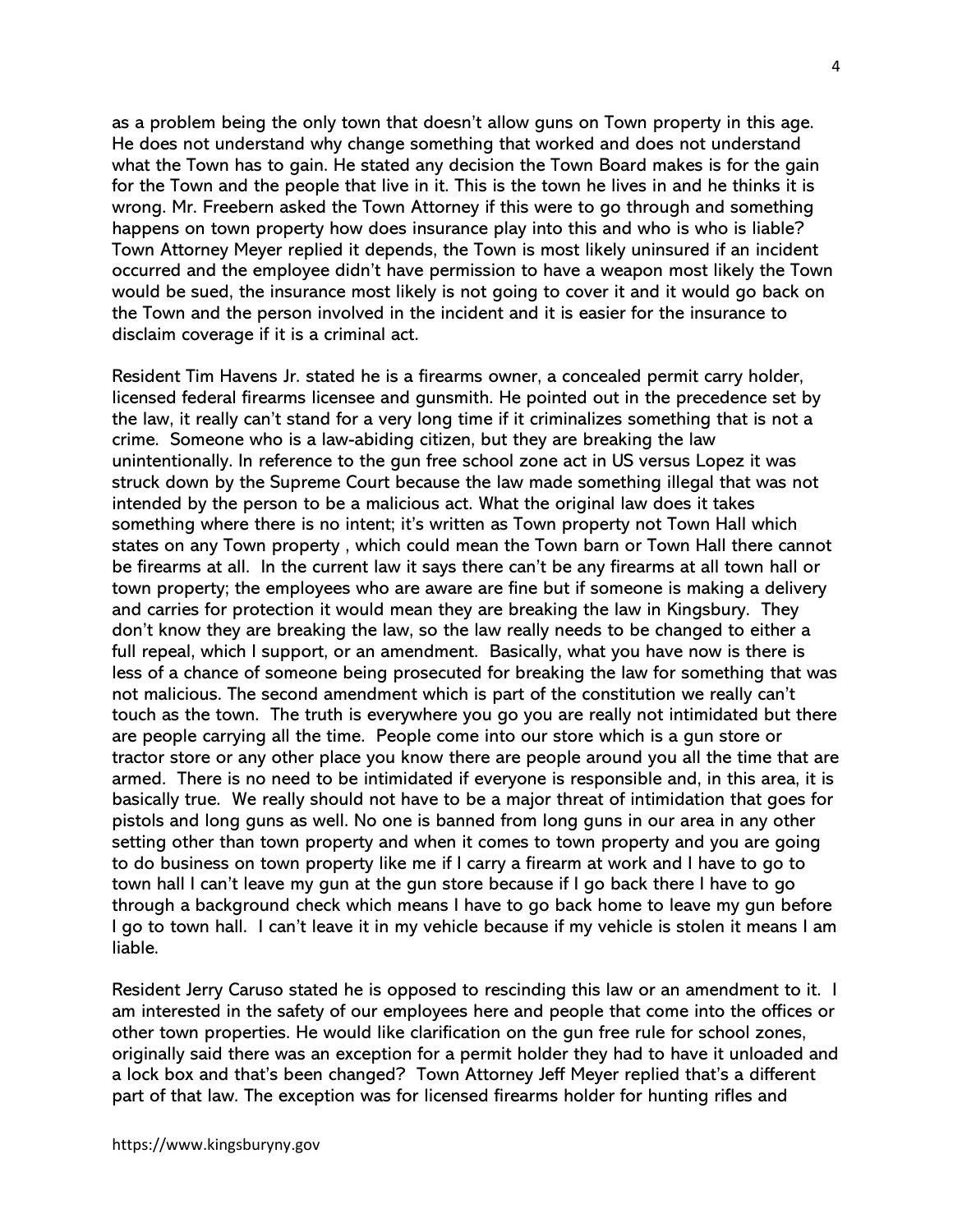as a problem being the only town that doesn't allow guns on Town property in this age. He does not understand why change something that worked and does not understand what the Town has to gain. He stated any decision the Town Board makes is for the gain for the Town and the people that live in it. This is the town he lives in and he thinks it is wrong. Mr. Freebern asked the Town Attorney if this were to go through and something happens on town property how does insurance play into this and who is who is liable? Town Attorney Meyer replied it depends, the Town is most likely uninsured if an incident occurred and the employee didn't have permission to have a weapon most likely the Town would be sued, the insurance most likely is not going to cover it and it would go back on the Town and the person involved in the incident and it is easier for the insurance to disclaim coverage if it is a criminal act.

Resident Tim Havens Jr. stated he is a firearms owner, a concealed permit carry holder, licensed federal firearms licensee and gunsmith. He pointed out in the precedence set by the law, it really can't stand for a very long time if it criminalizes something that is not a crime. Someone who is a law-abiding citizen, but they are breaking the law unintentionally. In reference to the gun free school zone act in US versus Lopez it was struck down by the Supreme Court because the law made something illegal that was not intended by the person to be a malicious act. What the original law does it takes something where there is no intent; it's written as Town property not Town Hall which states on any Town property , which could mean the Town barn or Town Hall there cannot be firearms at all. In the current law it says there can't be any firearms at all town hall or town property; the employees who are aware are fine but if someone is making a delivery and carries for protection it would mean they are breaking the law in Kingsbury. They don't know they are breaking the law, so the law really needs to be changed to either a full repeal, which I support, or an amendment. Basically, what you have now is there is less of a chance of someone being prosecuted for breaking the law for something that was not malicious. The second amendment which is part of the constitution we really can't touch as the town. The truth is everywhere you go you are really not intimidated but there are people carrying all the time. People come into our store which is a gun store or tractor store or any other place you know there are people around you all the time that are armed. There is no need to be intimidated if everyone is responsible and, in this area, it is basically true. We really should not have to be a major threat of intimidation that goes for pistols and long guns as well. No one is banned from long guns in our area in any other setting other than town property and when it comes to town property and you are going to do business on town property like me if I carry a firearm at work and I have to go to town hall I can't leave my gun at the gun store because if I go back there I have to go through a background check which means I have to go back home to leave my gun before I go to town hall. I can't leave it in my vehicle because if my vehicle is stolen it means I am liable.

Resident Jerry Caruso stated he is opposed to rescinding this law or an amendment to it. I am interested in the safety of our employees here and people that come into the offices or other town properties. He would like clarification on the gun free rule for school zones, originally said there was an exception for a permit holder they had to have it unloaded and a lock box and that's been changed? Town Attorney Jeff Meyer replied that's a different part of that law. The exception was for licensed firearms holder for hunting rifles and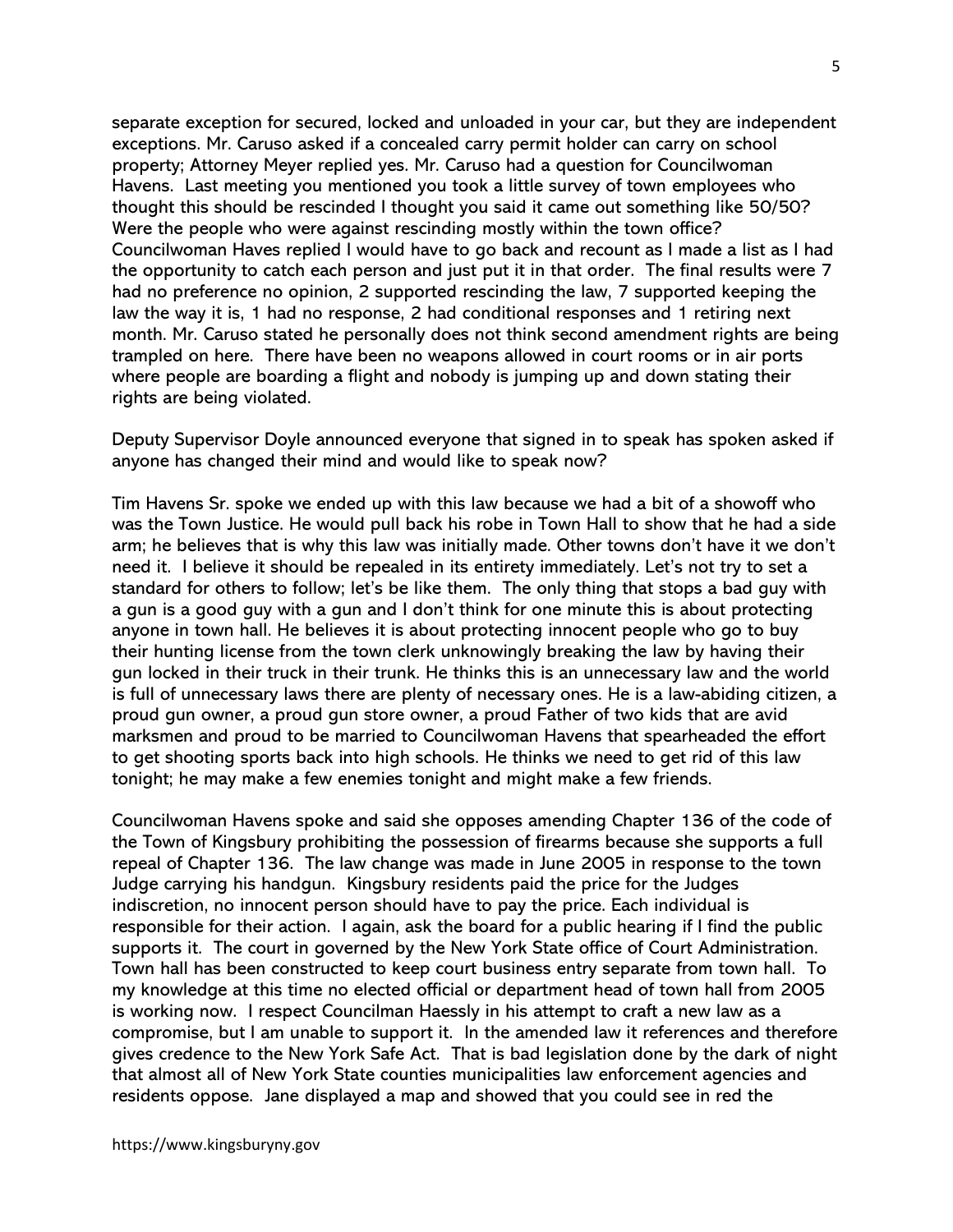separate exception for secured, locked and unloaded in your car, but they are independent exceptions. Mr. Caruso asked if a concealed carry permit holder can carry on school property; Attorney Meyer replied yes. Mr. Caruso had a question for Councilwoman Havens. Last meeting you mentioned you took a little survey of town employees who thought this should be rescinded I thought you said it came out something like 50/50? Were the people who were against rescinding mostly within the town office? Councilwoman Haves replied I would have to go back and recount as I made a list as I had the opportunity to catch each person and just put it in that order. The final results were 7 had no preference no opinion, 2 supported rescinding the law, 7 supported keeping the law the way it is, 1 had no response, 2 had conditional responses and 1 retiring next month. Mr. Caruso stated he personally does not think second amendment rights are being trampled on here. There have been no weapons allowed in court rooms or in air ports where people are boarding a flight and nobody is jumping up and down stating their rights are being violated.

Deputy Supervisor Doyle announced everyone that signed in to speak has spoken asked if anyone has changed their mind and would like to speak now?

Tim Havens Sr. spoke we ended up with this law because we had a bit of a showoff who was the Town Justice. He would pull back his robe in Town Hall to show that he had a side arm; he believes that is why this law was initially made. Other towns don't have it we don't need it. I believe it should be repealed in its entirety immediately. Let's not try to set a standard for others to follow; let's be like them. The only thing that stops a bad guy with a gun is a good guy with a gun and I don't think for one minute this is about protecting anyone in town hall. He believes it is about protecting innocent people who go to buy their hunting license from the town clerk unknowingly breaking the law by having their gun locked in their truck in their trunk. He thinks this is an unnecessary law and the world is full of unnecessary laws there are plenty of necessary ones. He is a law-abiding citizen, a proud gun owner, a proud gun store owner, a proud Father of two kids that are avid marksmen and proud to be married to Councilwoman Havens that spearheaded the effort to get shooting sports back into high schools. He thinks we need to get rid of this law tonight; he may make a few enemies tonight and might make a few friends.

Councilwoman Havens spoke and said she opposes amending Chapter 136 of the code of the Town of Kingsbury prohibiting the possession of firearms because she supports a full repeal of Chapter 136. The law change was made in June 2005 in response to the town Judge carrying his handgun. Kingsbury residents paid the price for the Judges indiscretion, no innocent person should have to pay the price. Each individual is responsible for their action. I again, ask the board for a public hearing if I find the public supports it. The court in governed by the New York State office of Court Administration. Town hall has been constructed to keep court business entry separate from town hall. To my knowledge at this time no elected official or department head of town hall from 2005 is working now. I respect Councilman Haessly in his attempt to craft a new law as a compromise, but I am unable to support it. In the amended law it references and therefore gives credence to the New York Safe Act. That is bad legislation done by the dark of night that almost all of New York State counties municipalities law enforcement agencies and residents oppose. Jane displayed a map and showed that you could see in red the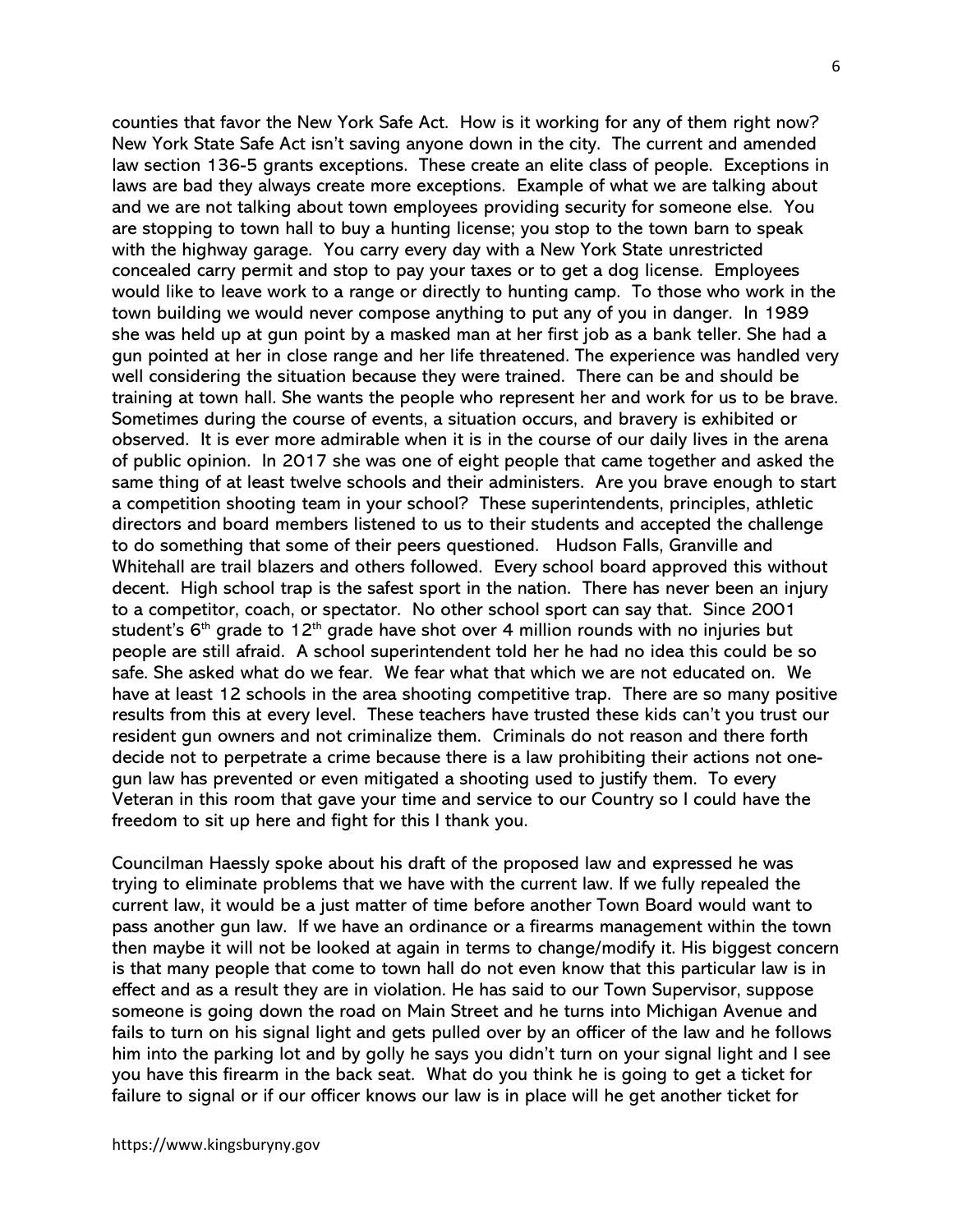counties that favor the New York Safe Act. How is it working for any of them right now? New York State Safe Act isn't saving anyone down in the city. The current and amended law section 136-5 grants exceptions. These create an elite class of people. Exceptions in laws are bad they always create more exceptions. Example of what we are talking about and we are not talking about town employees providing security for someone else. You are stopping to town hall to buy a hunting license; you stop to the town barn to speak with the highway garage. You carry every day with a New York State unrestricted concealed carry permit and stop to pay your taxes or to get a dog license. Employees would like to leave work to a range or directly to hunting camp. To those who work in the town building we would never compose anything to put any of you in danger. In 1989 she was held up at gun point by a masked man at her first job as a bank teller. She had a gun pointed at her in close range and her life threatened. The experience was handled very well considering the situation because they were trained. There can be and should be training at town hall. She wants the people who represent her and work for us to be brave. Sometimes during the course of events, a situation occurs, and bravery is exhibited or observed. It is ever more admirable when it is in the course of our daily lives in the arena of public opinion. In 2017 she was one of eight people that came together and asked the same thing of at least twelve schools and their administers. Are you brave enough to start a competition shooting team in your school? These superintendents, principles, athletic directors and board members listened to us to their students and accepted the challenge to do something that some of their peers questioned. Hudson Falls, Granville and Whitehall are trail blazers and others followed. Every school board approved this without decent. High school trap is the safest sport in the nation. There has never been an injury to a competitor, coach, or spectator. No other school sport can say that. Since 2001 student's  $6<sup>th</sup>$  grade to 12<sup>th</sup> grade have shot over 4 million rounds with no injuries but people are still afraid. A school superintendent told her he had no idea this could be so safe. She asked what do we fear. We fear what that which we are not educated on. We have at least 12 schools in the area shooting competitive trap. There are so many positive results from this at every level. These teachers have trusted these kids can't you trust our resident gun owners and not criminalize them. Criminals do not reason and there forth decide not to perpetrate a crime because there is a law prohibiting their actions not onegun law has prevented or even mitigated a shooting used to justify them. To every Veteran in this room that gave your time and service to our Country so I could have the freedom to sit up here and fight for this I thank you.

Councilman Haessly spoke about his draft of the proposed law and expressed he was trying to eliminate problems that we have with the current law. If we fully repealed the current law, it would be a just matter of time before another Town Board would want to pass another gun law. If we have an ordinance or a firearms management within the town then maybe it will not be looked at again in terms to change/modify it. His biggest concern is that many people that come to town hall do not even know that this particular law is in effect and as a result they are in violation. He has said to our Town Supervisor, suppose someone is going down the road on Main Street and he turns into Michigan Avenue and fails to turn on his signal light and gets pulled over by an officer of the law and he follows him into the parking lot and by golly he says you didn't turn on your signal light and I see you have this firearm in the back seat. What do you think he is going to get a ticket for failure to signal or if our officer knows our law is in place will he get another ticket for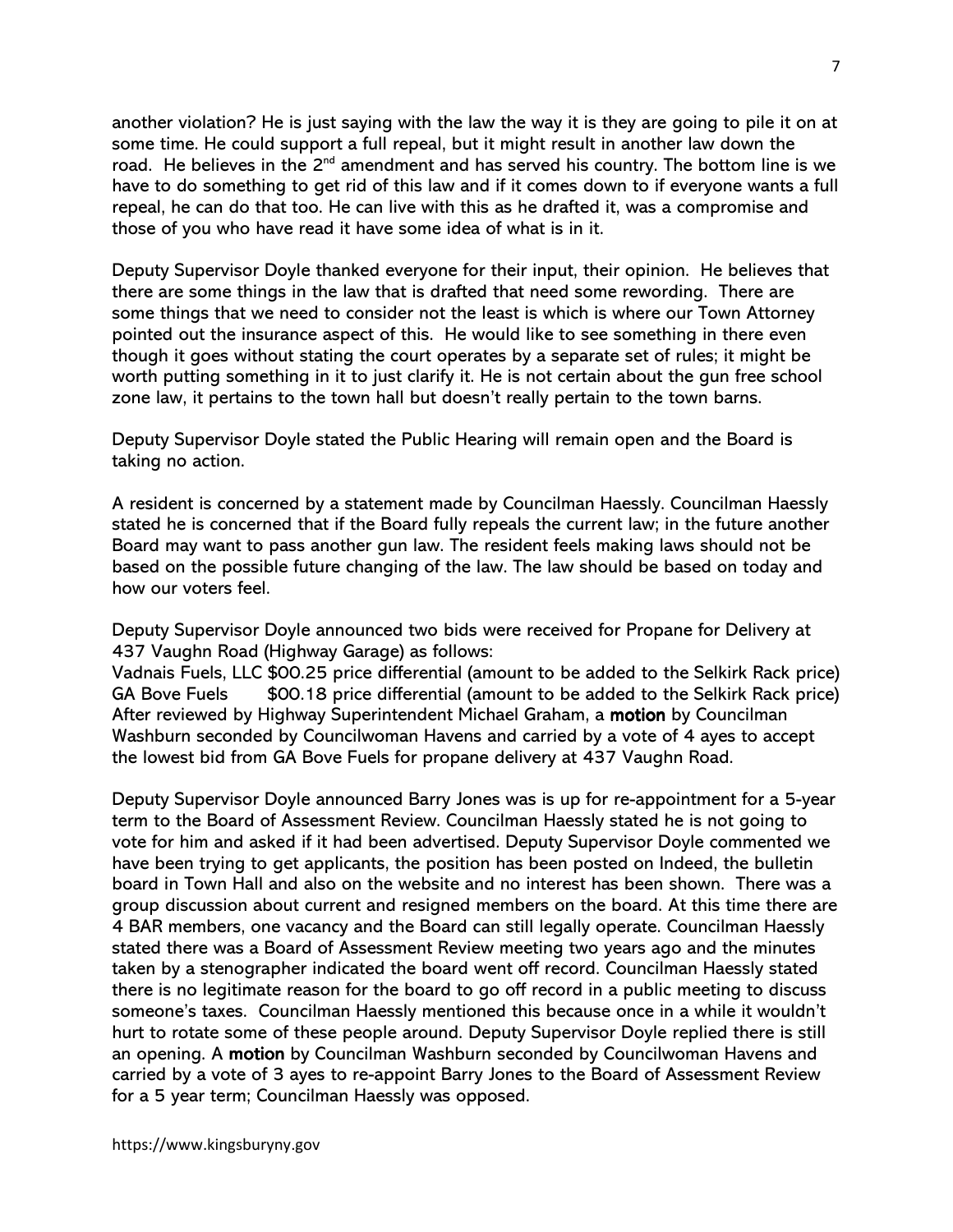another violation? He is just saying with the law the way it is they are going to pile it on at some time. He could support a full repeal, but it might result in another law down the road. He believes in the 2<sup>nd</sup> amendment and has served his country. The bottom line is we have to do something to get rid of this law and if it comes down to if everyone wants a full repeal, he can do that too. He can live with this as he drafted it, was a compromise and those of you who have read it have some idea of what is in it.

Deputy Supervisor Doyle thanked everyone for their input, their opinion. He believes that there are some things in the law that is drafted that need some rewording. There are some things that we need to consider not the least is which is where our Town Attorney pointed out the insurance aspect of this. He would like to see something in there even though it goes without stating the court operates by a separate set of rules; it might be worth putting something in it to just clarify it. He is not certain about the gun free school zone law, it pertains to the town hall but doesn't really pertain to the town barns.

Deputy Supervisor Doyle stated the Public Hearing will remain open and the Board is taking no action.

A resident is concerned by a statement made by Councilman Haessly. Councilman Haessly stated he is concerned that if the Board fully repeals the current law; in the future another Board may want to pass another gun law. The resident feels making laws should not be based on the possible future changing of the law. The law should be based on today and how our voters feel.

Deputy Supervisor Doyle announced two bids were received for Propane for Delivery at 437 Vaughn Road (Highway Garage) as follows:

Vadnais Fuels, LLC \$00.25 price differential (amount to be added to the Selkirk Rack price) GA Bove Fuels \$00.18 price differential (amount to be added to the Selkirk Rack price) After reviewed by Highway Superintendent Michael Graham, a motion by Councilman Washburn seconded by Councilwoman Havens and carried by a vote of 4 ayes to accept the lowest bid from GA Bove Fuels for propane delivery at 437 Vaughn Road.

Deputy Supervisor Doyle announced Barry Jones was is up for re-appointment for a 5-year term to the Board of Assessment Review. Councilman Haessly stated he is not going to vote for him and asked if it had been advertised. Deputy Supervisor Doyle commented we have been trying to get applicants, the position has been posted on Indeed, the bulletin board in Town Hall and also on the website and no interest has been shown. There was a group discussion about current and resigned members on the board. At this time there are 4 BAR members, one vacancy and the Board can still legally operate. Councilman Haessly stated there was a Board of Assessment Review meeting two years ago and the minutes taken by a stenographer indicated the board went off record. Councilman Haessly stated there is no legitimate reason for the board to go off record in a public meeting to discuss someone's taxes. Councilman Haessly mentioned this because once in a while it wouldn't hurt to rotate some of these people around. Deputy Supervisor Doyle replied there is still an opening. A motion by Councilman Washburn seconded by Councilwoman Havens and carried by a vote of 3 ayes to re-appoint Barry Jones to the Board of Assessment Review for a 5 year term; Councilman Haessly was opposed.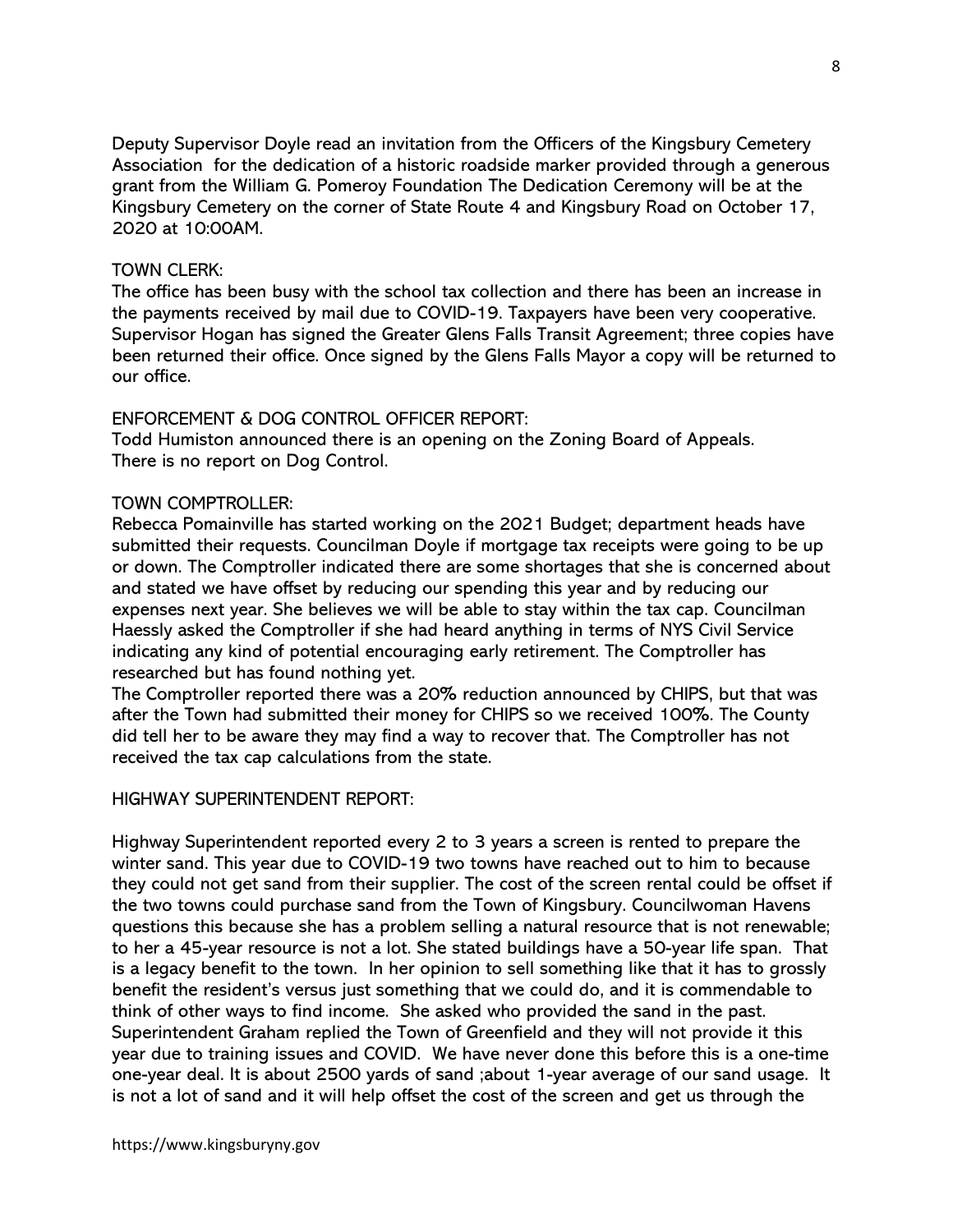Deputy Supervisor Doyle read an invitation from the Officers of the Kingsbury Cemetery Association for the dedication of a historic roadside marker provided through a generous grant from the William G. Pomeroy Foundation The Dedication Ceremony will be at the Kingsbury Cemetery on the corner of State Route 4 and Kingsbury Road on October 17, 2020 at 10:00AM.

## TOWN CLERK:

The office has been busy with the school tax collection and there has been an increase in the payments received by mail due to COVID-19. Taxpayers have been very cooperative. Supervisor Hogan has signed the Greater Glens Falls Transit Agreement; three copies have been returned their office. Once signed by the Glens Falls Mayor a copy will be returned to our office.

## ENFORCEMENT & DOG CONTROL OFFICER REPORT:

Todd Humiston announced there is an opening on the Zoning Board of Appeals. There is no report on Dog Control.

## TOWN COMPTROLLER:

Rebecca Pomainville has started working on the 2021 Budget; department heads have submitted their requests. Councilman Doyle if mortgage tax receipts were going to be up or down. The Comptroller indicated there are some shortages that she is concerned about and stated we have offset by reducing our spending this year and by reducing our expenses next year. She believes we will be able to stay within the tax cap. Councilman Haessly asked the Comptroller if she had heard anything in terms of NYS Civil Service indicating any kind of potential encouraging early retirement. The Comptroller has researched but has found nothing yet.

The Comptroller reported there was a 20% reduction announced by CHIPS, but that was after the Town had submitted their money for CHIPS so we received 100%. The County did tell her to be aware they may find a way to recover that. The Comptroller has not received the tax cap calculations from the state.

## HIGHWAY SUPERINTENDENT REPORT:

Highway Superintendent reported every 2 to 3 years a screen is rented to prepare the winter sand. This year due to COVID-19 two towns have reached out to him to because they could not get sand from their supplier. The cost of the screen rental could be offset if the two towns could purchase sand from the Town of Kingsbury. Councilwoman Havens questions this because she has a problem selling a natural resource that is not renewable; to her a 45-year resource is not a lot. She stated buildings have a 50-year life span. That is a legacy benefit to the town. In her opinion to sell something like that it has to grossly benefit the resident's versus just something that we could do, and it is commendable to think of other ways to find income. She asked who provided the sand in the past. Superintendent Graham replied the Town of Greenfield and they will not provide it this year due to training issues and COVID. We have never done this before this is a one-time one-year deal. It is about 2500 yards of sand ;about 1-year average of our sand usage. It is not a lot of sand and it will help offset the cost of the screen and get us through the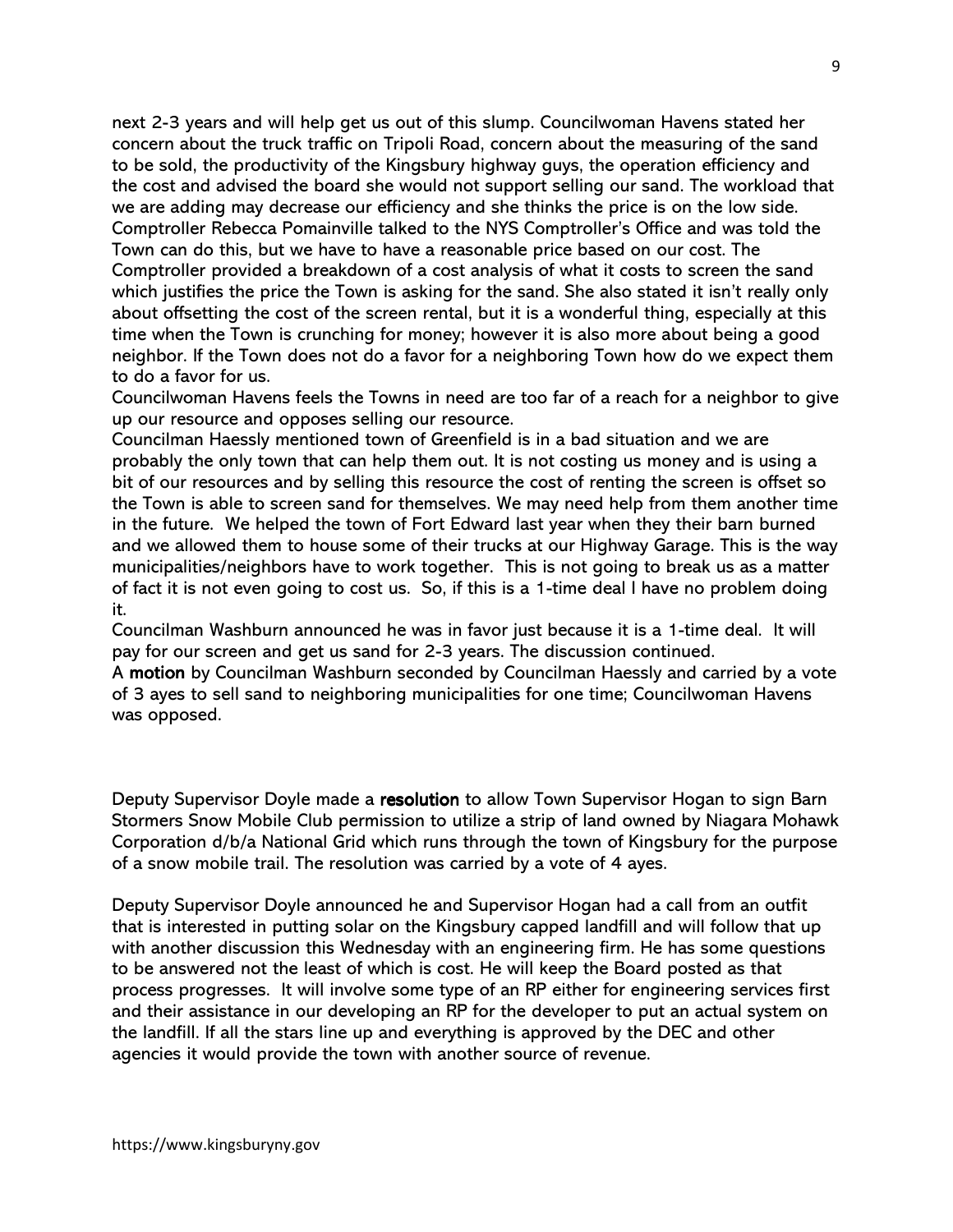next 2-3 years and will help get us out of this slump. Councilwoman Havens stated her concern about the truck traffic on Tripoli Road, concern about the measuring of the sand to be sold, the productivity of the Kingsbury highway guys, the operation efficiency and the cost and advised the board she would not support selling our sand. The workload that we are adding may decrease our efficiency and she thinks the price is on the low side. Comptroller Rebecca Pomainville talked to the NYS Comptroller's Office and was told the Town can do this, but we have to have a reasonable price based on our cost. The Comptroller provided a breakdown of a cost analysis of what it costs to screen the sand which justifies the price the Town is asking for the sand. She also stated it isn't really only about offsetting the cost of the screen rental, but it is a wonderful thing, especially at this time when the Town is crunching for money; however it is also more about being a good neighbor. If the Town does not do a favor for a neighboring Town how do we expect them to do a favor for us.

Councilwoman Havens feels the Towns in need are too far of a reach for a neighbor to give up our resource and opposes selling our resource.

Councilman Haessly mentioned town of Greenfield is in a bad situation and we are probably the only town that can help them out. It is not costing us money and is using a bit of our resources and by selling this resource the cost of renting the screen is offset so the Town is able to screen sand for themselves. We may need help from them another time in the future. We helped the town of Fort Edward last year when they their barn burned and we allowed them to house some of their trucks at our Highway Garage. This is the way municipalities/neighbors have to work together. This is not going to break us as a matter of fact it is not even going to cost us. So, if this is a 1-time deal I have no problem doing it.

Councilman Washburn announced he was in favor just because it is a 1-time deal. It will pay for our screen and get us sand for 2-3 years. The discussion continued.

A motion by Councilman Washburn seconded by Councilman Haessly and carried by a vote of 3 ayes to sell sand to neighboring municipalities for one time; Councilwoman Havens was opposed.

Deputy Supervisor Doyle made a resolution to allow Town Supervisor Hogan to sign Barn Stormers Snow Mobile Club permission to utilize a strip of land owned by Niagara Mohawk Corporation d/b/a National Grid which runs through the town of Kingsbury for the purpose of a snow mobile trail. The resolution was carried by a vote of 4 ayes.

Deputy Supervisor Doyle announced he and Supervisor Hogan had a call from an outfit that is interested in putting solar on the Kingsbury capped landfill and will follow that up with another discussion this Wednesday with an engineering firm. He has some questions to be answered not the least of which is cost. He will keep the Board posted as that process progresses. It will involve some type of an RP either for engineering services first and their assistance in our developing an RP for the developer to put an actual system on the landfill. If all the stars line up and everything is approved by the DEC and other agencies it would provide the town with another source of revenue.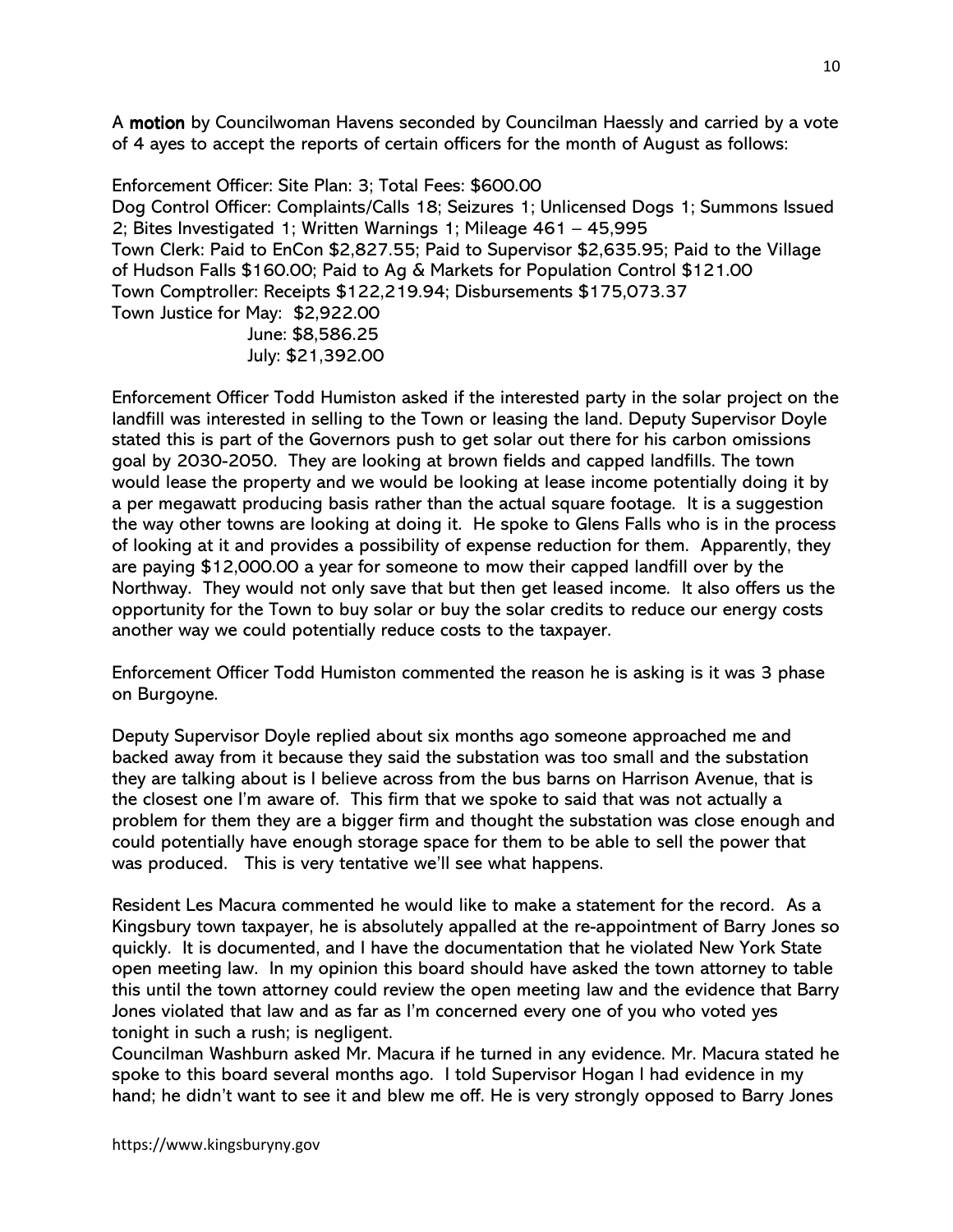A motion by Councilwoman Havens seconded by Councilman Haessly and carried by a vote of 4 ayes to accept the reports of certain officers for the month of August as follows:

Enforcement Officer: Site Plan: 3; Total Fees: \$600.00 Dog Control Officer: Complaints/Calls 18; Seizures 1; Unlicensed Dogs 1; Summons Issued 2; Bites Investigated 1; Written Warnings 1; Mileage 461 – 45,995 Town Clerk: Paid to EnCon \$2,827.55; Paid to Supervisor \$2,635.95; Paid to the Village of Hudson Falls \$160.00; Paid to Ag & Markets for Population Control \$121.00 Town Comptroller: Receipts \$122,219.94; Disbursements \$175,073.37 Town Justice for May: \$2,922.00 June: \$8,586.25 July: \$21,392.00

Enforcement Officer Todd Humiston asked if the interested party in the solar project on the landfill was interested in selling to the Town or leasing the land. Deputy Supervisor Doyle stated this is part of the Governors push to get solar out there for his carbon omissions goal by 2030-2050. They are looking at brown fields and capped landfills. The town would lease the property and we would be looking at lease income potentially doing it by a per megawatt producing basis rather than the actual square footage. It is a suggestion the way other towns are looking at doing it. He spoke to Glens Falls who is in the process of looking at it and provides a possibility of expense reduction for them. Apparently, they are paying \$12,000.00 a year for someone to mow their capped landfill over by the Northway. They would not only save that but then get leased income. It also offers us the opportunity for the Town to buy solar or buy the solar credits to reduce our energy costs another way we could potentially reduce costs to the taxpayer.

Enforcement Officer Todd Humiston commented the reason he is asking is it was 3 phase on Burgoyne.

Deputy Supervisor Doyle replied about six months ago someone approached me and backed away from it because they said the substation was too small and the substation they are talking about is I believe across from the bus barns on Harrison Avenue, that is the closest one I'm aware of. This firm that we spoke to said that was not actually a problem for them they are a bigger firm and thought the substation was close enough and could potentially have enough storage space for them to be able to sell the power that was produced. This is very tentative we'll see what happens.

Resident Les Macura commented he would like to make a statement for the record. As a Kingsbury town taxpayer, he is absolutely appalled at the re-appointment of Barry Jones so quickly. It is documented, and I have the documentation that he violated New York State open meeting law. In my opinion this board should have asked the town attorney to table this until the town attorney could review the open meeting law and the evidence that Barry Jones violated that law and as far as I'm concerned every one of you who voted yes tonight in such a rush; is negligent.

Councilman Washburn asked Mr. Macura if he turned in any evidence. Mr. Macura stated he spoke to this board several months ago. I told Supervisor Hogan I had evidence in my hand; he didn't want to see it and blew me off. He is very strongly opposed to Barry Jones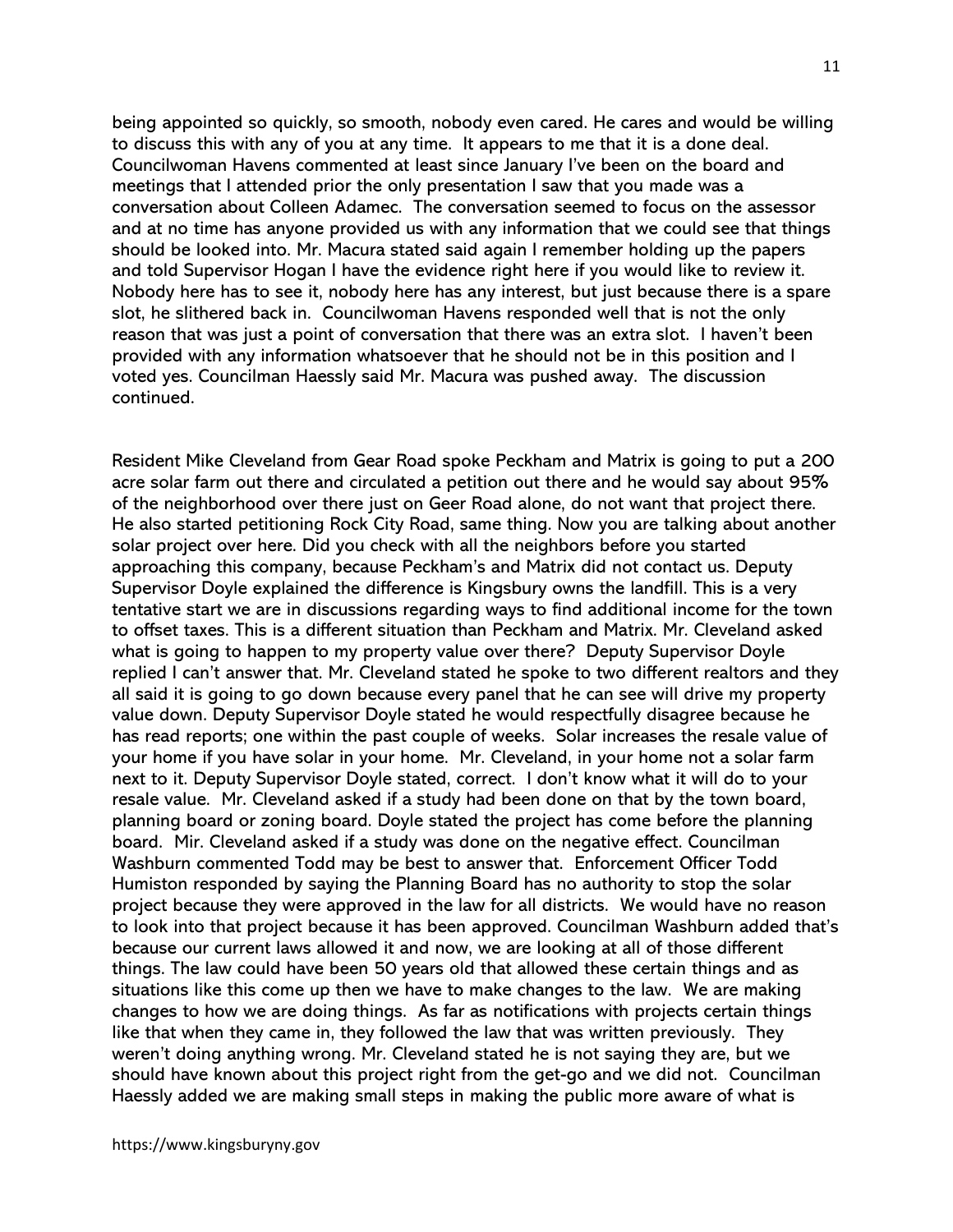being appointed so quickly, so smooth, nobody even cared. He cares and would be willing to discuss this with any of you at any time. It appears to me that it is a done deal. Councilwoman Havens commented at least since January I've been on the board and meetings that I attended prior the only presentation I saw that you made was a conversation about Colleen Adamec. The conversation seemed to focus on the assessor and at no time has anyone provided us with any information that we could see that things should be looked into. Mr. Macura stated said again I remember holding up the papers and told Supervisor Hogan I have the evidence right here if you would like to review it. Nobody here has to see it, nobody here has any interest, but just because there is a spare slot, he slithered back in. Councilwoman Havens responded well that is not the only reason that was just a point of conversation that there was an extra slot. I haven't been provided with any information whatsoever that he should not be in this position and I voted yes. Councilman Haessly said Mr. Macura was pushed away. The discussion continued.

Resident Mike Cleveland from Gear Road spoke Peckham and Matrix is going to put a 200 acre solar farm out there and circulated a petition out there and he would say about 95% of the neighborhood over there just on Geer Road alone, do not want that project there. He also started petitioning Rock City Road, same thing. Now you are talking about another solar project over here. Did you check with all the neighbors before you started approaching this company, because Peckham's and Matrix did not contact us. Deputy Supervisor Doyle explained the difference is Kingsbury owns the landfill. This is a very tentative start we are in discussions regarding ways to find additional income for the town to offset taxes. This is a different situation than Peckham and Matrix. Mr. Cleveland asked what is going to happen to my property value over there? Deputy Supervisor Doyle replied I can't answer that. Mr. Cleveland stated he spoke to two different realtors and they all said it is going to go down because every panel that he can see will drive my property value down. Deputy Supervisor Doyle stated he would respectfully disagree because he has read reports; one within the past couple of weeks. Solar increases the resale value of your home if you have solar in your home. Mr. Cleveland, in your home not a solar farm next to it. Deputy Supervisor Doyle stated, correct. I don't know what it will do to your resale value. Mr. Cleveland asked if a study had been done on that by the town board, planning board or zoning board. Doyle stated the project has come before the planning board. Mir. Cleveland asked if a study was done on the negative effect. Councilman Washburn commented Todd may be best to answer that. Enforcement Officer Todd Humiston responded by saying the Planning Board has no authority to stop the solar project because they were approved in the law for all districts. We would have no reason to look into that project because it has been approved. Councilman Washburn added that's because our current laws allowed it and now, we are looking at all of those different things. The law could have been 50 years old that allowed these certain things and as situations like this come up then we have to make changes to the law. We are making changes to how we are doing things. As far as notifications with projects certain things like that when they came in, they followed the law that was written previously. They weren't doing anything wrong. Mr. Cleveland stated he is not saying they are, but we should have known about this project right from the get-go and we did not. Councilman Haessly added we are making small steps in making the public more aware of what is